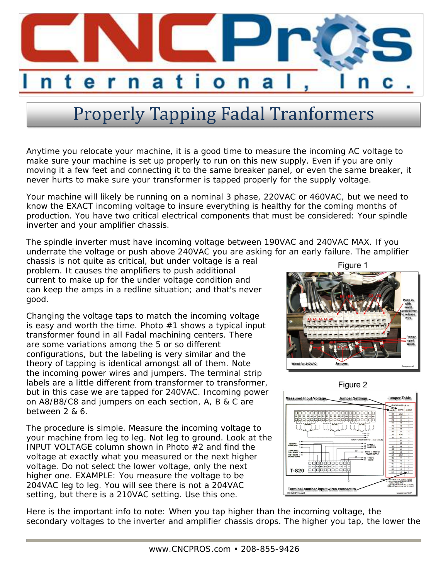

## Properly Tapping Fadal Tranformers

Anytime you relocate your machine, it is a good time to measure the incoming AC voltage to make sure your machine is set up properly to run on this new supply. Even if you are only moving it a few feet and connecting it to the same breaker panel, or even the same breaker, it never hurts to make sure your transformer is tapped properly for the supply voltage.

Your machine will likely be running on a nominal 3 phase, 220VAC or 460VAC, but we need to know the EXACT incoming voltage to insure everything is healthy for the coming months of production. You have two critical electrical components that must be considered: Your spindle inverter and your amplifier chassis.

The spindle inverter must have incoming voltage between 190VAC and 240VAC MAX. If you underrate the voltage or push above 240VAC you are asking for an early failure. The amplifier

chassis is not quite as critical, but under voltage is a real problem. It causes the amplifiers to push additional current to make up for the under voltage condition and can keep the amps in a redline situation; and that's never good.

Changing the voltage taps to match the incoming voltage is easy and worth the time. Photo #1 shows a typical input transformer found in all Fadal machining centers. There are some variations among the 5 or so different configurations, but the labeling is very similar and the theory of tapping is identical amongst all of them. Note the incoming power wires and jumpers. The terminal strip labels are a little different from transformer to transformer, but in this case we are tapped for 240VAC. Incoming power on A8/B8/C8 and jumpers on each section, A, B & C are between 2 & 6.

The procedure is simple. Measure the incoming voltage to your machine from leg to leg. Not leg to ground. Look at the INPUT VOLTAGE column shown in Photo #2 and find the voltage at exactly what you measured or the next higher voltage. Do not select the lower voltage, only the next higher one. EXAMPLE: You measure the voltage to be 204VAC leg to leg. You will see there is not a 204VAC setting, but there is a 210VAC setting. Use this one.







Here is the important info to note: When you tap higher than the incoming voltage, the secondary voltages to the inverter and amplifier chassis drops. The higher you tap, the lower the